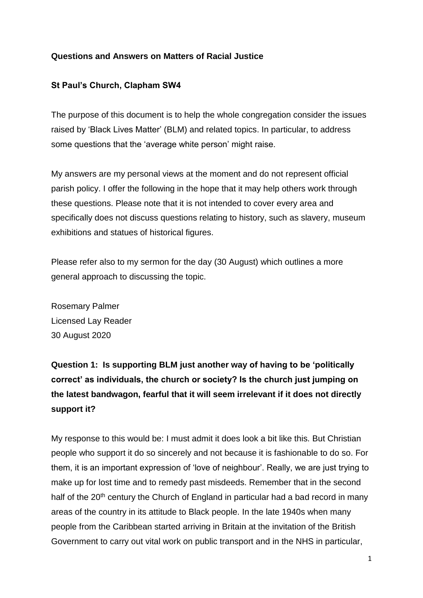#### **Questions and Answers on Matters of Racial Justice**

#### **St Paul's Church, Clapham SW4**

The purpose of this document is to help the whole congregation consider the issues raised by 'Black Lives Matter' (BLM) and related topics. In particular, to address some questions that the 'average white person' might raise.

My answers are my personal views at the moment and do not represent official parish policy. I offer the following in the hope that it may help others work through these questions. Please note that it is not intended to cover every area and specifically does not discuss questions relating to history, such as slavery, museum exhibitions and statues of historical figures.

Please refer also to my sermon for the day (30 August) which outlines a more general approach to discussing the topic.

Rosemary Palmer Licensed Lay Reader 30 August 2020

**Question 1: Is supporting BLM just another way of having to be 'politically correct' as individuals, the church or society? Is the church just jumping on the latest bandwagon, fearful that it will seem irrelevant if it does not directly support it?** 

My response to this would be: I must admit it does look a bit like this. But Christian people who support it do so sincerely and not because it is fashionable to do so. For them, it is an important expression of 'love of neighbour'. Really, we are just trying to make up for lost time and to remedy past misdeeds. Remember that in the second half of the 20<sup>th</sup> century the Church of England in particular had a bad record in many areas of the country in its attitude to Black people. In the late 1940s when many people from the Caribbean started arriving in Britain at the invitation of the British Government to carry out vital work on public transport and in the NHS in particular,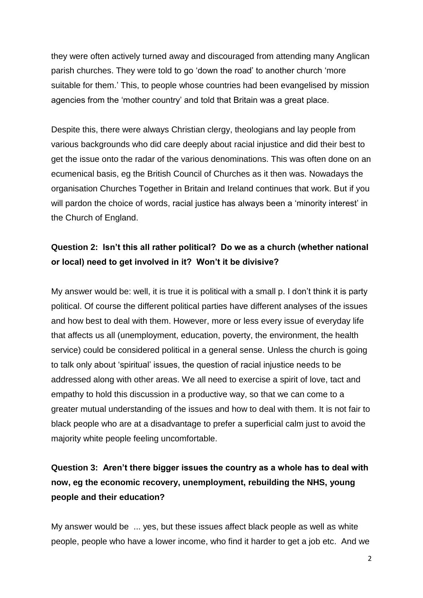they were often actively turned away and discouraged from attending many Anglican parish churches. They were told to go 'down the road' to another church 'more suitable for them.' This, to people whose countries had been evangelised by mission agencies from the 'mother country' and told that Britain was a great place.

Despite this, there were always Christian clergy, theologians and lay people from various backgrounds who did care deeply about racial injustice and did their best to get the issue onto the radar of the various denominations. This was often done on an ecumenical basis, eg the British Council of Churches as it then was. Nowadays the organisation Churches Together in Britain and Ireland continues that work. But if you will pardon the choice of words, racial justice has always been a 'minority interest' in the Church of England.

### **Question 2: Isn't this all rather political? Do we as a church (whether national or local) need to get involved in it? Won't it be divisive?**

My answer would be: well, it is true it is political with a small p. I don't think it is party political. Of course the different political parties have different analyses of the issues and how best to deal with them. However, more or less every issue of everyday life that affects us all (unemployment, education, poverty, the environment, the health service) could be considered political in a general sense. Unless the church is going to talk only about 'spiritual' issues, the question of racial injustice needs to be addressed along with other areas. We all need to exercise a spirit of love, tact and empathy to hold this discussion in a productive way, so that we can come to a greater mutual understanding of the issues and how to deal with them. It is not fair to black people who are at a disadvantage to prefer a superficial calm just to avoid the majority white people feeling uncomfortable.

## **Question 3: Aren't there bigger issues the country as a whole has to deal with now, eg the economic recovery, unemployment, rebuilding the NHS, young people and their education?**

My answer would be ... yes, but these issues affect black people as well as white people, people who have a lower income, who find it harder to get a job etc. And we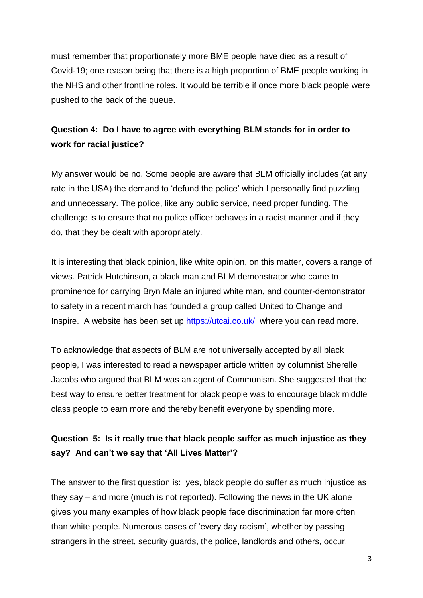must remember that proportionately more BME people have died as a result of Covid-19; one reason being that there is a high proportion of BME people working in the NHS and other frontline roles. It would be terrible if once more black people were pushed to the back of the queue.

## **Question 4: Do I have to agree with everything BLM stands for in order to work for racial justice?**

My answer would be no. Some people are aware that BLM officially includes (at any rate in the USA) the demand to 'defund the police' which I personally find puzzling and unnecessary. The police, like any public service, need proper funding. The challenge is to ensure that no police officer behaves in a racist manner and if they do, that they be dealt with appropriately.

It is interesting that black opinion, like white opinion, on this matter, covers a range of views. Patrick Hutchinson, a black man and BLM demonstrator who came to prominence for carrying Bryn Male an injured white man, and counter-demonstrator to safety in a recent march has founded a group called United to Change and Inspire. A website has been set up<https://utcai.co.uk/>where you can read more.

To acknowledge that aspects of BLM are not universally accepted by all black people, I was interested to read a newspaper article written by columnist Sherelle Jacobs who argued that BLM was an agent of Communism. She suggested that the best way to ensure better treatment for black people was to encourage black middle class people to earn more and thereby benefit everyone by spending more.

### **Question 5: Is it really true that black people suffer as much injustice as they say? And can't we say that 'All Lives Matter'?**

The answer to the first question is: yes, black people do suffer as much injustice as they say – and more (much is not reported). Following the news in the UK alone gives you many examples of how black people face discrimination far more often than white people. Numerous cases of 'every day racism', whether by passing strangers in the street, security guards, the police, landlords and others, occur.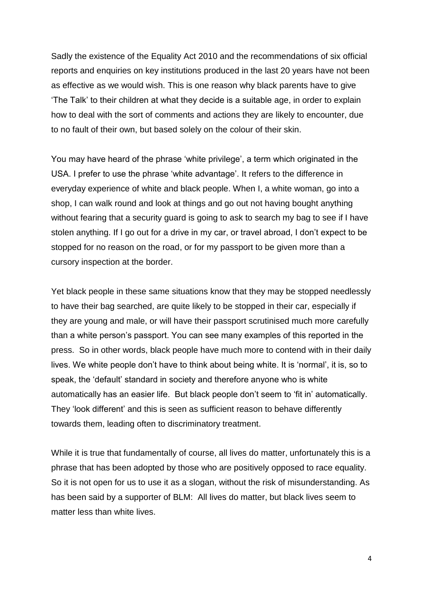Sadly the existence of the Equality Act 2010 and the recommendations of six official reports and enquiries on key institutions produced in the last 20 years have not been as effective as we would wish. This is one reason why black parents have to give 'The Talk' to their children at what they decide is a suitable age, in order to explain how to deal with the sort of comments and actions they are likely to encounter, due to no fault of their own, but based solely on the colour of their skin.

You may have heard of the phrase 'white privilege', a term which originated in the USA. I prefer to use the phrase 'white advantage'. It refers to the difference in everyday experience of white and black people. When I, a white woman, go into a shop, I can walk round and look at things and go out not having bought anything without fearing that a security guard is going to ask to search my bag to see if I have stolen anything. If I go out for a drive in my car, or travel abroad, I don't expect to be stopped for no reason on the road, or for my passport to be given more than a cursory inspection at the border.

Yet black people in these same situations know that they may be stopped needlessly to have their bag searched, are quite likely to be stopped in their car, especially if they are young and male, or will have their passport scrutinised much more carefully than a white person's passport. You can see many examples of this reported in the press. So in other words, black people have much more to contend with in their daily lives. We white people don't have to think about being white. It is 'normal', it is, so to speak, the 'default' standard in society and therefore anyone who is white automatically has an easier life. But black people don't seem to 'fit in' automatically. They 'look different' and this is seen as sufficient reason to behave differently towards them, leading often to discriminatory treatment.

While it is true that fundamentally of course, all lives do matter, unfortunately this is a phrase that has been adopted by those who are positively opposed to race equality. So it is not open for us to use it as a slogan, without the risk of misunderstanding. As has been said by a supporter of BLM: All lives do matter, but black lives seem to matter less than white lives.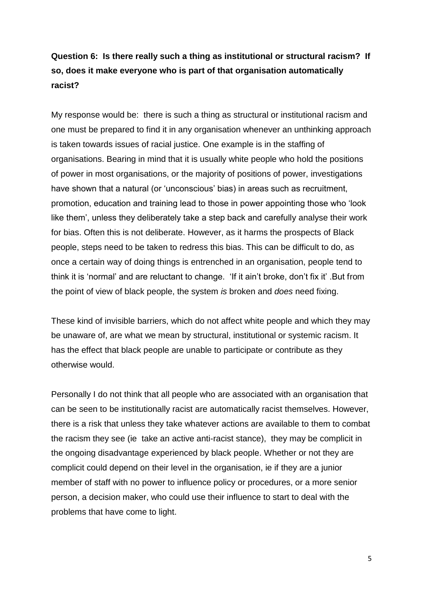## **Question 6: Is there really such a thing as institutional or structural racism? If so, does it make everyone who is part of that organisation automatically racist?**

My response would be: there is such a thing as structural or institutional racism and one must be prepared to find it in any organisation whenever an unthinking approach is taken towards issues of racial justice. One example is in the staffing of organisations. Bearing in mind that it is usually white people who hold the positions of power in most organisations, or the majority of positions of power, investigations have shown that a natural (or 'unconscious' bias) in areas such as recruitment, promotion, education and training lead to those in power appointing those who 'look like them', unless they deliberately take a step back and carefully analyse their work for bias. Often this is not deliberate. However, as it harms the prospects of Black people, steps need to be taken to redress this bias. This can be difficult to do, as once a certain way of doing things is entrenched in an organisation, people tend to think it is 'normal' and are reluctant to change. 'If it ain't broke, don't fix it' .But from the point of view of black people, the system *is* broken and *does* need fixing.

These kind of invisible barriers, which do not affect white people and which they may be unaware of, are what we mean by structural, institutional or systemic racism. It has the effect that black people are unable to participate or contribute as they otherwise would.

Personally I do not think that all people who are associated with an organisation that can be seen to be institutionally racist are automatically racist themselves. However, there is a risk that unless they take whatever actions are available to them to combat the racism they see (ie take an active anti-racist stance), they may be complicit in the ongoing disadvantage experienced by black people. Whether or not they are complicit could depend on their level in the organisation, ie if they are a junior member of staff with no power to influence policy or procedures, or a more senior person, a decision maker, who could use their influence to start to deal with the problems that have come to light.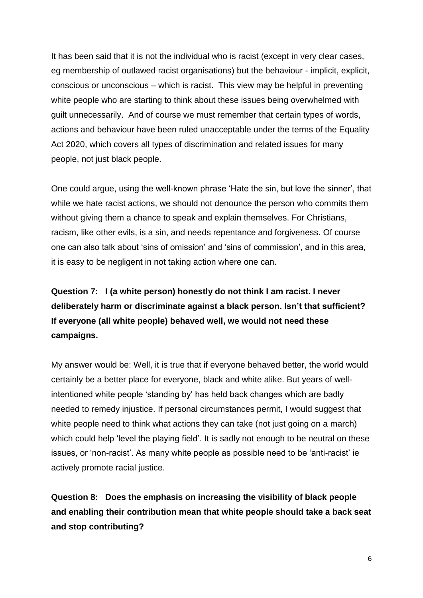It has been said that it is not the individual who is racist (except in very clear cases, eg membership of outlawed racist organisations) but the behaviour - implicit, explicit, conscious or unconscious – which is racist. This view may be helpful in preventing white people who are starting to think about these issues being overwhelmed with guilt unnecessarily. And of course we must remember that certain types of words, actions and behaviour have been ruled unacceptable under the terms of the Equality Act 2020, which covers all types of discrimination and related issues for many people, not just black people.

One could argue, using the well-known phrase 'Hate the sin, but love the sinner', that while we hate racist actions, we should not denounce the person who commits them without giving them a chance to speak and explain themselves. For Christians, racism, like other evils, is a sin, and needs repentance and forgiveness. Of course one can also talk about 'sins of omission' and 'sins of commission', and in this area, it is easy to be negligent in not taking action where one can.

**Question 7: I (a white person) honestly do not think I am racist. I never deliberately harm or discriminate against a black person. Isn't that sufficient? If everyone (all white people) behaved well, we would not need these campaigns.**

My answer would be: Well, it is true that if everyone behaved better, the world would certainly be a better place for everyone, black and white alike. But years of wellintentioned white people 'standing by' has held back changes which are badly needed to remedy injustice. If personal circumstances permit, I would suggest that white people need to think what actions they can take (not just going on a march) which could help 'level the playing field'. It is sadly not enough to be neutral on these issues, or 'non-racist'. As many white people as possible need to be 'anti-racist' ie actively promote racial justice.

**Question 8: Does the emphasis on increasing the visibility of black people and enabling their contribution mean that white people should take a back seat and stop contributing?**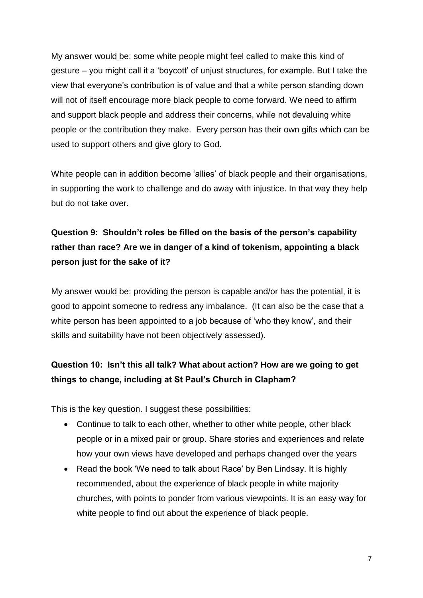My answer would be: some white people might feel called to make this kind of gesture – you might call it a 'boycott' of unjust structures, for example. But I take the view that everyone's contribution is of value and that a white person standing down will not of itself encourage more black people to come forward. We need to affirm and support black people and address their concerns, while not devaluing white people or the contribution they make. Every person has their own gifts which can be used to support others and give glory to God.

White people can in addition become 'allies' of black people and their organisations, in supporting the work to challenge and do away with injustice. In that way they help but do not take over.

# **Question 9: Shouldn't roles be filled on the basis of the person's capability rather than race? Are we in danger of a kind of tokenism, appointing a black person just for the sake of it?**

My answer would be: providing the person is capable and/or has the potential, it is good to appoint someone to redress any imbalance. (It can also be the case that a white person has been appointed to a job because of 'who they know', and their skills and suitability have not been objectively assessed).

## **Question 10: Isn't this all talk? What about action? How are we going to get things to change, including at St Paul's Church in Clapham?**

This is the key question. I suggest these possibilities:

- Continue to talk to each other, whether to other white people, other black people or in a mixed pair or group. Share stories and experiences and relate how your own views have developed and perhaps changed over the years
- Read the book 'We need to talk about Race' by Ben Lindsay. It is highly recommended, about the experience of black people in white majority churches, with points to ponder from various viewpoints. It is an easy way for white people to find out about the experience of black people.